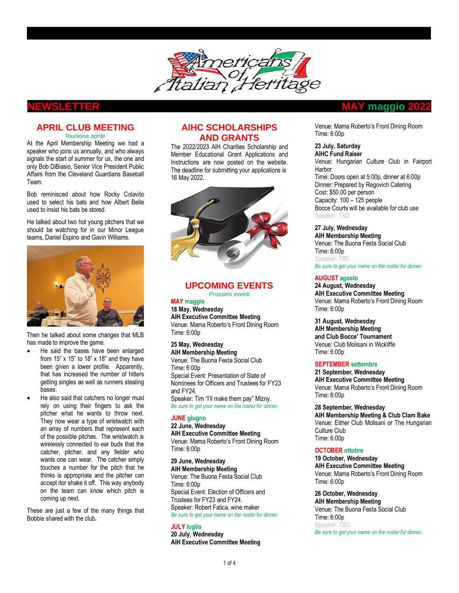

### **APRIL CLUB MEETING**  Riunione aprile

At the April Membership Meeting we had a speaker who joins us annually, and who always signals the start of summer for us, the one and only Bob DiBiasio, Senior Vice President Public Affairs from the Cleveland Guardians Baseball Team.

Bob reminisced about how Rocky Colavito used to select his bats and how Albert Belle used to insist his bats be stored.

He talked about two hot young pitchers that we should be watching for in our Minor League teams, Daniel Espino and Gavin Williams.



Then he talked about some changes that MLB has made to improve the game.

- He said the bases have been enlarged from 15" x 15" to 18" x 18" and they have been given a lower profile. Apparently, that has increased the number of hitters getting singles as well as runners stealing bases.
- He also said that catchers no longer must rely on using their fingers to ask the pitcher what he wants to throw next. They now wear a type of wristwatch with an array of numbers that represent each of the possible pitches. The wristwatch is wirelessly connected to ear buds that the catcher, pitcher, and any fielder who wants one can wear. The catcher simply touches a number for the pitch that he thinks is appropriate and the pitcher can accept itor shake it off. This way anybody on the team can know which pitch is coming up next.

These are just a few of the many things that Bobbie shared with the club.

# **AIHC SCHOLARSHIPS AND GRANTS**

The 2022/2023 AIH Charities Scholarship and Member Educational Grant Applications and Instructions are now posted on the website. The deadline for submitting your applications is 16 May 2022.



# **UPCOMING EVENTS**

Prossimi eventi **MAY maggio**

**18 May, Wednesday**

**AIH Executive Committee Meeting** Venue: Mama Roberto's Front Dining Room Time: 6:00p

#### **25 May, Wednesday AIH Membership Meeting**

Venue: The Buona Festa Social Club Time: 6:00p Special Event: Presentation of Slate of Nominees for Officers and Trustees for FY23 and FY24.

Speaker: Tim "I'll make them pay" Mizny. *Be sure to get your name on the roster for dinner.* 

# **JUNE giugno**

**22 June, Wednesday AIH Executive Committee Meeting** Venue: Mama Roberto's Front Dining Room Time: 6:00p

**29 June, Wednesday AIH Membership Meeting** Venue: The Buona Festa Social Club Time: 6:00p Special Event: Election of Officers and Trustees for FY23 and FY24. Speaker: Robert Fatica, wine maker *Be sure to get your name on the roster for dinner.* 

### **JULY luglio**

**20 July, Wednesday AIH Executive Committee Meeting**

# **NEWSLETTER MAY maggio 2022**

Venue: Mama Roberto's Front Dining Room Time: 6:00p

# **23 July, Saturday**

**AIHC Fund Raiser**  Venue: Hungarian Culture Club in Fairport Harbor Time: Doors open at 5:00p, dinner at 6:00p Dinner: Prepared by Regovich Catering Cost: \$50.00 per person Capacity: 100 – 125 people Bocce Courts will be available for club use Speaker: TBD

## **27 July, Wednesday**

**AIH Membership Meeting** Venue: The Buona Festa Social Club Time: 6:00p Speaker: TBD. *Be sure to get your name on the roster for dinner.* 

# **AUGUST agosto**

**24 August, Wednesday AIH Executive Committee Meeting** Venue: Mama Roberto's Front Dining Room Time: 6:00p

**31 August, Wednesday AIH Membership Meeting and Club Bocce' Tournament** Venue: Club Molisani in Wickliffe Time: 6:00p

### **SEPTEMBER settembre**

**21 September, Wednesday AIH Executive Committee Meeting** Venue: Mama Roberto's Front Dining Room Time: 6:00p

**28 September, Wednesday AIH Membership Meeting & Club Clam Bake** Venue: Either Club Molisani or The Hungarian Culture Club Time: 6:00p

### **OCTOBER ottobre**

**19 October, Wednesday AIH Executive Committee Meeting** Venue: Mama Roberto's Front Dining Room Time: 6:00p

**26 October, Wednesday**

**AIH Membership Meeting** Venue: The Buona Festa Social Club Time: 6:00p Speaker: TBD. *Be sure to get your name on the roster for dinner.*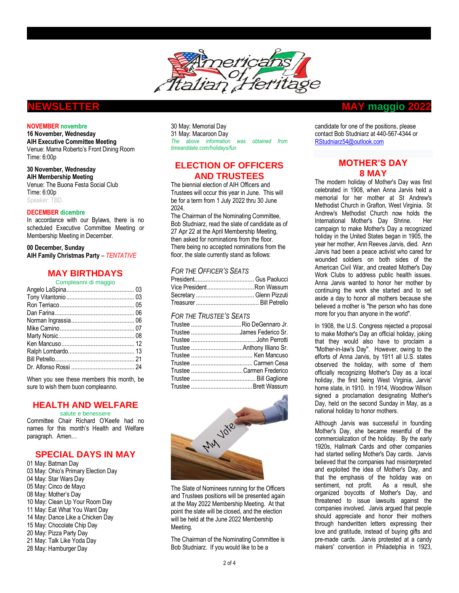

#### **NOVEMBER novembre**

**16 November, Wednesday AIH Executive Committee Meeting** Venue: Mama Roberto's Front Dining Room Time: 6:00p

**30 November, Wednesday AIH Membership Meeting** Venue: The Buona Festa Social Club Time: 6:00p Speaker: TBD.

#### **DECEMBER dicembre**

In accordance with our Bylaws, there is no scheduled Executive Committee Meeting or Membership Meeting in December.

**00 December, Sunday AIH Family Christmas Party** – *TENTATIVE*

# **MAY BIRTHDAYS**

| Compleanni di maggio |  |
|----------------------|--|
|                      |  |
|                      |  |
|                      |  |
|                      |  |
|                      |  |
|                      |  |
|                      |  |
|                      |  |
|                      |  |
|                      |  |
|                      |  |
|                      |  |

When you see these members this month, be sure to wish them buon compleanno.

## **HEALTH AND WELFARE**

salute e benessere

Committee Chair Richard O'Keefe had no names for this month's Health and Welfare paragraph. Amen…

## **SPECIAL DAYS IN MAY**

01 May: Batman Day 03 May: Ohio's Primary Election Day May: Star Wars Day 05 May: Cinco de Mayo 08 May: Mother's Day May: Clean Up Your Room Day May: Eat What You Want Day May: Dance Like a Chicken Day May: Chocolate Chip Day May: Pizza Party Day May: Talk Like Yoda Day May: Hamburger Day

30 May: Memorial Day 31 May: Macaroon Day *The above information was obtained from timeanddate.com/holidays/fun* 

# **ELECTION OF OFFICERS AND TRUSTEES**

The biennial election of AIH Officers and Trustees will occur this year in June. This will be for a term from 1 July 2022 thru 30 June 2024.

The Chairman of the Nominating Committee, Bob Studniarz, read the slate of candidate as of 27 Apr 22 at the April Membership Meeting, then asked for nominations from the floor. There being no accepted nominations from the floor, the slate currently stand as follows:

### *FOR THE OFFICER'S SEATS*

| Vice PresidentRon Wassum |  |
|--------------------------|--|
|                          |  |
|                          |  |

### *FOR THE TRUSTEE'S SEATS*

| Trustee Rio DeGennaro Jr.  |
|----------------------------|
| Trustee James Federico Sr. |
|                            |
|                            |
|                            |
|                            |
| Trustee Carmen Frederico   |
|                            |
|                            |



The Slate of Nominees running for the Officers and Trustees positions will be presented again at the May 2022 Membership Meeting. At that point the slate will be closed, and the election will be held at the June 2022 Membership Meeting.

The Chairman of the Nominating Committee is Bob Studniarz. If you would like to be a

# **NEWSLETTER MAY maggio 2022**

candidate for one of the positions, please contact Bob Studniarz at 440-567-4344 or [RStudniarz54@outlook.com](mailto:RStudniarz54@outlook.com)

# **MOTHER'S DAY 8 MAY**

The modern holiday of Mother's Day was first celebrated in 1908, when [Anna Jarvis](https://en.wikipedia.org/wiki/Anna_Jarvis) held a memorial for her mother at St Andrew's Methodist Church in [Grafton, West Virginia.](https://en.wikipedia.org/wiki/Grafton,_West_Virginia) St Andrew's Methodist Church now holds the [International Mother's Day Shrine.](https://en.wikipedia.org/wiki/International_Mother%27s_Day_Shrine) Her campaign to make Mother's Day a recognized holiday in the United States began in 1905, the year her mother[, Ann Reeves Jarvis,](https://en.wikipedia.org/wiki/Ann_Jarvis) died. Ann Jarvis had been a peace activist who cared for wounded soldiers on both sides of the [American Civil War,](https://en.wikipedia.org/wiki/American_Civil_War) and created Mother's Day Work Clubs to address public health issues. Anna Jarvis wanted to honor her mother by continuing the work she started and to set aside a day to honor all mothers because she believed a mother is "the person who has done more for you than anyone in the world".

In 1908, th[e U.S. Congress](https://en.wikipedia.org/wiki/U.S._Congress) rejected a proposal to make Mother's Day an official holiday, joking that they would also have to proclaim a "Mother-in-law's Day". However, owing to the efforts of Anna Jarvis, by 1911 all U.S. states observed the holiday, with some of them officially recognizing Mother's Day as a local holiday, the first being West Virginia, Jarvis' home state, in 1910. In 1914, Woodrow Wilson signed a proclamation designating Mother's Day, held on the second Sunday in May, as a national holiday to honor mothers.

Although Jarvis was successful in founding Mother's Day, she became resentful of the [commercialization of the holiday.](https://en.wikipedia.org/wiki/Hallmark_holiday) By the early 1920s, [Hallmark Cards](https://en.wikipedia.org/wiki/Hallmark_Cards) and other companies had started selling Mother's Day cards. Jarvis believed that the companies had misinterpreted and exploited the idea of Mother's Day, and that the emphasis of the holiday was on sentiment, not profit. As a result, she organized boycotts of Mother's Day, and threatened to issue [lawsuits](https://en.wikipedia.org/wiki/Lawsuits) against the companies involved. Jarvis argued that people should appreciate and honor their mothers through handwritten letters expressing their love and gratitude, instead of buying gifts and pre-made cards. Jarvis protested at a candy makers' convention in [Philadelphia](https://en.wikipedia.org/wiki/Philadelphia) in 1923,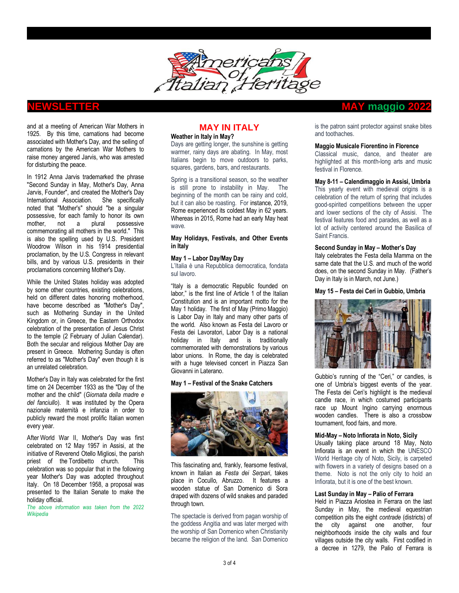

and at a meeting of [American War Mothers](https://en.wikipedia.org/wiki/American_War_Mothers) in 1925. By this time, [carnations](https://en.wikipedia.org/wiki/Carnation) had become associated with Mother's Day, and the selling of carnations by the American War Mothers to raise money angered Jarvis, who was arrested fo[r disturbing the peace.](https://en.wikipedia.org/wiki/Breach_of_the_peace)

In 1912 Anna Jarvis trademarked the phrase "Second Sunday in May, Mother's Day, Anna Jarvis, Founder", and created the Mother's Day International Association. She specifically noted that "Mother's" should "be a singular possessive, for each family to honor its own mother, not a plural possessive commemorating all mothers in the world." This is also the spelling used by U.S. President [Woodrow Wilson](https://en.wikipedia.org/wiki/Woodrow_Wilson) in his 1914 presidential proclamation, by the U.S. Congress in relevant bills, and by various U.S. presidents in their proclamations concerning Mother's Day.

While the United States holiday was adopted by some other countries, existing celebrations, held on different dates honoring motherhood, have become described as "Mother's Day", such as [Mothering Sunday](https://en.wikipedia.org/wiki/Mothering_Sunday) in the United Kingdom or, in Greece, the [Eastern Orthodox](https://en.wikipedia.org/wiki/Eastern_Orthodox_Church) celebration of the presentation of [Jesus Christ](https://en.wikipedia.org/wiki/Jesus_Christ) to the temple (2 February of Julian Calendar). Both the secular and religious Mother Day are present in [Greece.](https://en.wikipedia.org/wiki/Greece) Mothering Sunday is often referred to as "Mother's Day" even though it is an unrelated celebration.

Mother's Day i[n Italy](https://en.wikipedia.org/wiki/Italy) was celebrated for the first time on 24 December 1933 as the "Day of the mother and the child" (*Giornata della madre e del fanciullo*). It was instituted by the [Opera](https://it.wikipedia.org/wiki/ONMI)  [nazionale maternità e infanzia](https://it.wikipedia.org/wiki/ONMI) in order to publicly reward the most prolific Italian women every year.

After [World War II,](https://en.wikipedia.org/wiki/World_War_II) Mother's Day was first celebrated on 12 May 1957 in [Assisi,](https://en.wikipedia.org/wiki/Assisi) at the initiative of Reverend Otello Migliosi, the [parish](https://en.wikipedia.org/wiki/Parish_priest)  [priest](https://en.wikipedia.org/wiki/Parish_priest) of the [Tordibetto](https://en.wikipedia.org/wiki/Tordibetto) church. This celebration was so popular that in the following year Mother's Day was adopted throughout Italy. On 18 December 1958, a proposal was presented to the [Italian Senate](https://en.wikipedia.org/wiki/Senate_of_the_Republic_(Italy)) to make the holiday official.

*The above information was taken from the 2022 Wikipedia*

# **MAY IN ITALY**

#### **Weather in Italy in May?**

Days are getting longer, the sunshine is getting warmer, rainy days are abating. In May, most Italians begin to move outdoors to parks, squares, gardens, bars, and restaurants.

Spring is a transitional season, so the weather is still prone to instability in May. The beginning of the month can be rainy and cold, but it can also be roasting. For instance, 2019, Rome experienced its coldest May in 62 years. Whereas [in 2015,](https://www.wunderground.com/history/daily/it/rome/LIRA/date/2015-5-5) Rome had an early May heat wave.

#### **May Holidays, Festivals, and Other Events in Italy**

#### **May 1 – Labor Day/May Day**

L'Italia è una Repubblica democratica, fondata sul lavoro.

"Italy is a democratic Republic founded on labor," is the first line of Article 1 of the [Italian](https://www.senato.it/documenti/repository/istituzione/costituzione_inglese.pdf)  [Constitution](https://www.senato.it/documenti/repository/istituzione/costituzione_inglese.pdf) and is an important motto for the May 1 holiday. The first of May (Primo Maggio) is Labor Day in Italy and many other parts of the world. Also known as Festa del Lavoro or Festa dei Lavoratori, Labor Day is a national holiday in Italy and is traditionally commemorated with demonstrations by various labor unions. In Rome, the day is celebrated with a [huge televised concert](https://www.primomaggio.net/) in [Piazza San](https://www.italofile.com/papal-basilicas-of-rome-san-giovanni-in-laterano/)  [Giovanni in Laterano.](https://www.italofile.com/papal-basilicas-of-rome-san-giovanni-in-laterano/)

#### **May 1 – Festival of the Snake Catchers**



This fascinating and, frankly, fearsome festival, known in Italian as *Festa dei Serpari*, takes place in Cocullo, [Abruzzo.](https://www.italofile.com/italian-cities-and-regions/abruzzo/) It features a wooden statue of San Domenico di Sora draped with dozens of wild snakes and paraded through town.

The spectacle is derived from pagan worship of the goddess Angitia and was later merged with the worship of San Domenico when Christianity became the religion of the land. San Domenico

# **NEWSLETTER MAY maggio 2022**

is the patron saint protector against snake bites and toothaches.

#### **Maggio Musicale Fiorentino in Florence**

Classical music, dance, and theater are highlighted at this month-long arts and music festival in Florence.

#### **May 8-11 – Calendimaggio in Assisi, Umbria**

This yearly event with medieval origins is a celebration of the return of spring that includes good-spirited competitions between the upper and lower sections of the city of Assisi. The festival features food and parades, as well as a lot of activity centered around the Basilica of Saint Francis.

## **Second Sunday in May – Mother's Day**

Italy celebrates the Festa della Mamma on the same date that the U.S. and much of the world does, on the second Sunday in May. (Father's Day in Italy is i[n March,](https://www.italofile.com/march-italy/) no[t June.](https://www.italofile.com/june-italy/))

#### **May 15 – Festa dei Ceri in Gubbio, Umbria**



Gubbio's running of the "[Ceri](http://www.ceri.it/)," or candles, is one of Umbria's biggest events of the year. The Festa dei Ceri's highlight is the medieval candle race, in which costumed participants race up Mount Ingino carrying enormous wooden candles. There is also a crossbow tournament, food fairs, and more.

#### **Mid-May – Noto Infiorata in Noto, Sicily**

Usually taking place around 18 May, [Noto](http://www.infioratadinoto.it/)  [Infiorata](http://www.infioratadinoto.it/) is an event in which the UNESCO World Heritage city of Noto, Sicily, is carpeted with flowers in a variety of designs based on a theme. Noto is not the only city to hold an Infiorata, but it is one of the best known.

#### **Last Sunday in May – Palio of Ferrara**

Held in Piazza Ariostea in [Ferrara](https://www.italofile.com/postcard-ferrara/) on the last Sunday in May, the medieval equestrian competition pits the eight *contrade* (districts) of the city against one another, four neighborhoods inside the city walls and four villages outside the city walls. First codified in a decree in 1279, the [Palio of Ferrara](http://www.paliodiferrara.it/) is